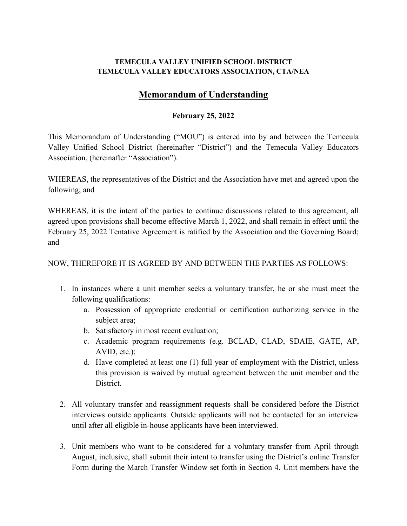### **TEMECULA VALLEY UNIFIED SCHOOL DISTRICT TEMECULA VALLEY EDUCATORS ASSOCIATION, CTA/NEA**

# **Memorandum of Understanding**

## **February 25, 2022**

This Memorandum of Understanding ("MOU") is entered into by and between the Temecula Valley Unified School District (hereinafter "District") and the Temecula Valley Educators Association, (hereinafter "Association").

WHEREAS, the representatives of the District and the Association have met and agreed upon the following; and

WHEREAS, it is the intent of the parties to continue discussions related to this agreement, all agreed upon provisions shall become effective March 1, 2022, and shall remain in effect until the February 25, 2022 Tentative Agreement is ratified by the Association and the Governing Board; and

### NOW, THEREFORE IT IS AGREED BY AND BETWEEN THE PARTIES AS FOLLOWS:

- 1. In instances where a unit member seeks a voluntary transfer, he or she must meet the following qualifications:
	- a. Possession of appropriate credential or certification authorizing service in the subject area;
	- b. Satisfactory in most recent evaluation;
	- c. Academic program requirements (e.g. BCLAD, CLAD, SDAIE, GATE, AP, AVID, etc.);
	- d. Have completed at least one (1) full year of employment with the District, unless this provision is waived by mutual agreement between the unit member and the District.
- 2. All voluntary transfer and reassignment requests shall be considered before the District interviews outside applicants. Outside applicants will not be contacted for an interview until after all eligible in-house applicants have been interviewed.
- 3. Unit members who want to be considered for a voluntary transfer from April through August, inclusive, shall submit their intent to transfer using the District's online Transfer Form during the March Transfer Window set forth in Section 4. Unit members have the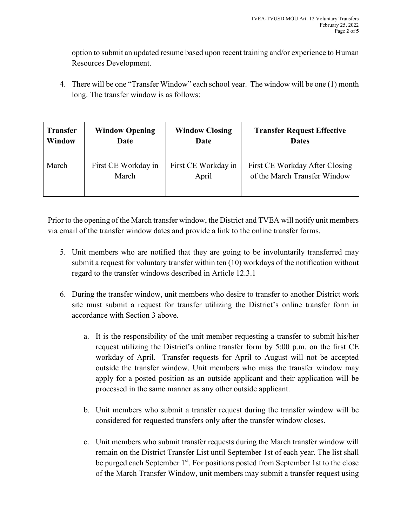option to submit an updated resume based upon recent training and/or experience to Human Resources Development.

4. There will be one "Transfer Window" each school year. The window will be one (1) month long. The transfer window is as follows:

| <b>Transfer</b> | <b>Window Opening</b> | <b>Window Closing</b> | <b>Transfer Request Effective</b> |
|-----------------|-----------------------|-----------------------|-----------------------------------|
| <b>Window</b>   | Date                  | Date                  | <b>Dates</b>                      |
| March           | First CE Workday in   | First CE Workday in   | First CE Workday After Closing    |
|                 | March                 | April                 | of the March Transfer Window      |

Prior to the opening of the March transfer window, the District and TVEA will notify unit members via email of the transfer window dates and provide a link to the online transfer forms.

- 5. Unit members who are notified that they are going to be involuntarily transferred may submit a request for voluntary transfer within ten (10) workdays of the notification without regard to the transfer windows described in Article 12.3.1
- 6. During the transfer window, unit members who desire to transfer to another District work site must submit a request for transfer utilizing the District's online transfer form in accordance with Section 3 above.
	- a. It is the responsibility of the unit member requesting a transfer to submit his/her request utilizing the District's online transfer form by 5:00 p.m. on the first CE workday of April. Transfer requests for April to August will not be accepted outside the transfer window. Unit members who miss the transfer window may apply for a posted position as an outside applicant and their application will be processed in the same manner as any other outside applicant.
	- b. Unit members who submit a transfer request during the transfer window will be considered for requested transfers only after the transfer window closes.
	- c. Unit members who submit transfer requests during the March transfer window will remain on the District Transfer List until September 1st of each year. The list shall be purged each September 1<sup>st</sup>. For positions posted from September 1st to the close of the March Transfer Window, unit members may submit a transfer request using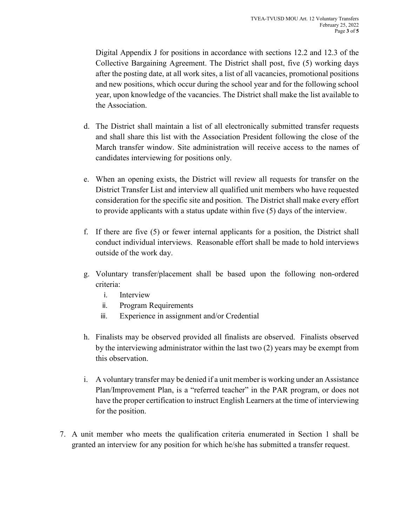Digital Appendix J for positions in accordance with sections 12.2 and 12.3 of the Collective Bargaining Agreement. The District shall post, five (5) working days after the posting date, at all work sites, a list of all vacancies, promotional positions and new positions, which occur during the school year and for the following school year, upon knowledge of the vacancies. The District shall make the list available to the Association.

- d. The District shall maintain a list of all electronically submitted transfer requests and shall share this list with the Association President following the close of the March transfer window. Site administration will receive access to the names of candidates interviewing for positions only.
- e. When an opening exists, the District will review all requests for transfer on the District Transfer List and interview all qualified unit members who have requested consideration for the specific site and position. The District shall make every effort to provide applicants with a status update within five (5) days of the interview.
- f. If there are five (5) or fewer internal applicants for a position, the District shall conduct individual interviews. Reasonable effort shall be made to hold interviews outside of the work day.
- g. Voluntary transfer/placement shall be based upon the following non-ordered criteria:
	- i. Interview
	- ii. Program Requirements
	- iii. Experience in assignment and/or Credential
- h. Finalists may be observed provided all finalists are observed. Finalists observed by the interviewing administrator within the last two (2) years may be exempt from this observation.
- i. A voluntary transfer may be denied if a unit member is working under an Assistance Plan/Improvement Plan, is a "referred teacher" in the PAR program, or does not have the proper certification to instruct English Learners at the time of interviewing for the position.
- 7. A unit member who meets the qualification criteria enumerated in Section 1 shall be granted an interview for any position for which he/she has submitted a transfer request.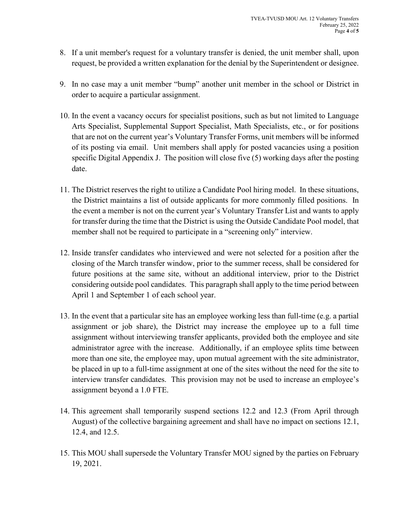- 8. If a unit member's request for a voluntary transfer is denied, the unit member shall, upon request, be provided a written explanation for the denial by the Superintendent or designee.
- 9. In no case may a unit member "bump" another unit member in the school or District in order to acquire a particular assignment.
- 10. In the event a vacancy occurs for specialist positions, such as but not limited to Language Arts Specialist, Supplemental Support Specialist, Math Specialists, etc., or for positions that are not on the current year's Voluntary Transfer Forms, unit members will be informed of its posting via email. Unit members shall apply for posted vacancies using a position specific Digital Appendix J. The position will close five (5) working days after the posting date.
- 11. The District reserves the right to utilize a Candidate Pool hiring model. In these situations, the District maintains a list of outside applicants for more commonly filled positions. In the event a member is not on the current year's Voluntary Transfer List and wants to apply for transfer during the time that the District is using the Outside Candidate Pool model, that member shall not be required to participate in a "screening only" interview.
- 12. Inside transfer candidates who interviewed and were not selected for a position after the closing of the March transfer window, prior to the summer recess, shall be considered for future positions at the same site, without an additional interview, prior to the District considering outside pool candidates. This paragraph shall apply to the time period between April 1 and September 1 of each school year.
- 13. In the event that a particular site has an employee working less than full-time (e.g. a partial assignment or job share), the District may increase the employee up to a full time assignment without interviewing transfer applicants, provided both the employee and site administrator agree with the increase. Additionally, if an employee splits time between more than one site, the employee may, upon mutual agreement with the site administrator, be placed in up to a full-time assignment at one of the sites without the need for the site to interview transfer candidates. This provision may not be used to increase an employee's assignment beyond a 1.0 FTE.
- 14. This agreement shall temporarily suspend sections 12.2 and 12.3 (From April through August) of the collective bargaining agreement and shall have no impact on sections 12.1, 12.4, and 12.5.
- 15. This MOU shall supersede the Voluntary Transfer MOU signed by the parties on February 19, 2021.